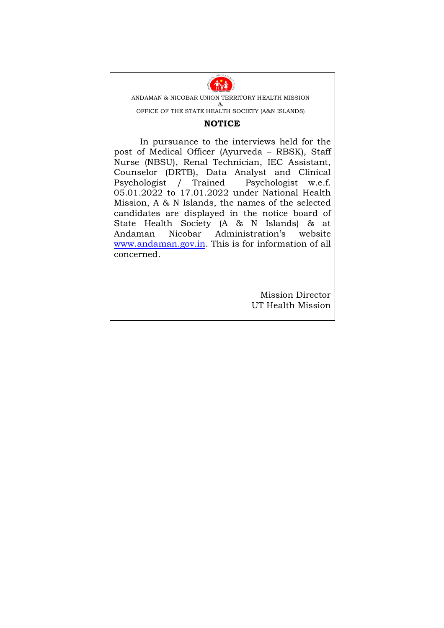

ANDAMAN & NICOBAR UNION TERRITORY HEALTH MISSION &

OFFICE OF THE STATE HEALTH SOCIETY (A&N ISLANDS)

## **NOTICE**

In pursuance to the interviews held for the post of Medical Officer (Ayurveda – RBSK), Staff Nurse (NBSU), Renal Technician, IEC Assistant, Counselor (DRTB), Data Analyst and Clinical Psychologist / Trained Psychologist w.e.f. 05.01.2022 to 17.01.2022 under National Health Mission, A & N Islands, the names of the selected candidates are displayed in the notice board of State Health Society (A & N Islands) & at Andaman Nicobar Administration's website www.andaman.gov.in. This is for information of all concerned.

> Mission Director UT Health Mission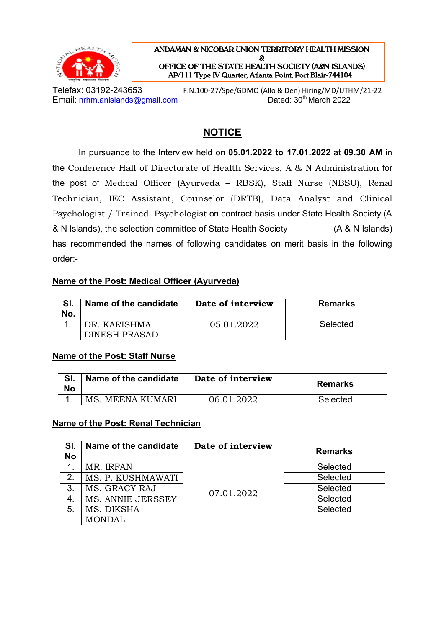

**ANDAMAN & NICOBAR UNION TERRITORY HEALTH MISSION & OFFICE OF THE STATE HEALTH SOCIETY (A&N ISLANDS) AP/111 Type IV Quarter, Atlanta Point, Port Blair-744104** 

Telefax: 03192-243653 F.N.100-27/Spe/GDMO (Allo & Den) Hiring/MD/UTHM/21-22 Email: nrhm.anislands@gmail.com Dated: 30<sup>th</sup> March 2022

# **NOTICE**

In pursuance to the Interview held on **05.01.2022 to 17.01.2022** at **09.30 AM** in the Conference Hall of Directorate of Health Services, A & N Administration for the post of Medical Officer (Ayurveda – RBSK), Staff Nurse (NBSU), Renal Technician, IEC Assistant, Counselor (DRTB), Data Analyst and Clinical Psychologist / Trained Psychologist on contract basis under State Health Society (A & N Islands), the selection committee of State Health Society (A & N Islands) has recommended the names of following candidates on merit basis in the following order:-

## **Name of the Post: Medical Officer (Ayurveda)**

| No. | Name of the candidate | Date of interview | <b>Remarks</b> |
|-----|-----------------------|-------------------|----------------|
|     | DR KARISHMA           | 05.01.2022        | Selected       |
|     | DINESH PRASAD         |                   |                |

#### **Name of the Post: Staff Nurse**

| No | Name of the candidate | Date of interview | <b>Remarks</b> |
|----|-----------------------|-------------------|----------------|
|    | MS. MEENA KUMARI      | 06.01.2022        | Selected       |

#### **Name of the Post: Renal Technician**

| SI.<br><b>No</b> | Name of the candidate | Date of interview | <b>Remarks</b> |
|------------------|-----------------------|-------------------|----------------|
|                  | MR. IRFAN             |                   | Selected       |
| 2.               | MS. P. KUSHMAWATI     |                   | Selected       |
| 3.               | MS. GRACY RAJ         | 07.01.2022        | Selected       |
|                  | MS. ANNIE JERSSEY     |                   | Selected       |
| 5.               | MS. DIKSHA            |                   | Selected       |
|                  | <b>MONDAL</b>         |                   |                |